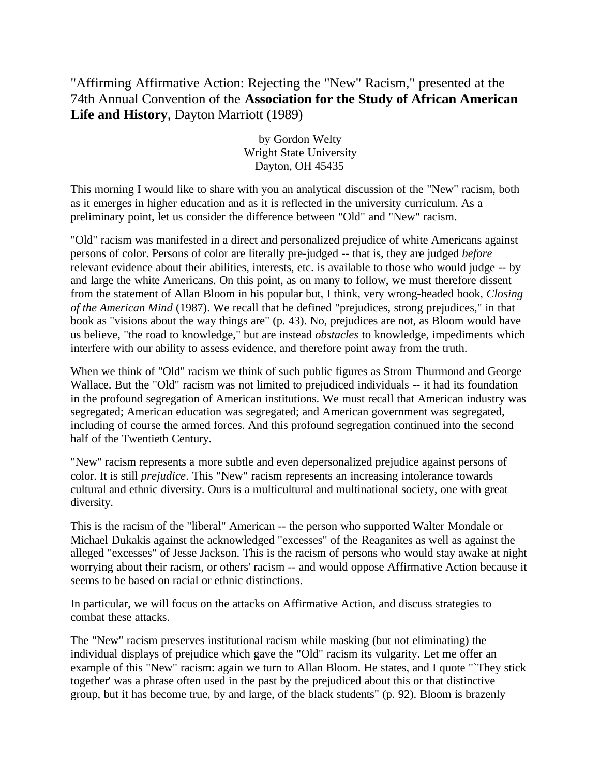## "Affirming Affirmative Action: Rejecting the "New" Racism," presented at the 74th Annual Convention of the **Association for the Study of African American Life and History**, Dayton Marriott (1989)

by Gordon Welty Wright State University Dayton, OH 45435

This morning I would like to share with you an analytical discussion of the "New" racism, both as it emerges in higher education and as it is reflected in the university curriculum. As a preliminary point, let us consider the difference between "Old" and "New" racism.

"Old" racism was manifested in a direct and personalized prejudice of white Americans against persons of color. Persons of color are literally pre-judged -- that is, they are judged *before* relevant evidence about their abilities, interests, etc. is available to those who would judge -- by and large the white Americans. On this point, as on many to follow, we must therefore dissent from the statement of Allan Bloom in his popular but, I think, very wrong-headed book, *Closing of the American Mind* (1987). We recall that he defined "prejudices, strong prejudices," in that book as "visions about the way things are" (p. 43). No, prejudices are not, as Bloom would have us believe, "the road to knowledge," but are instead *obstacles* to knowledge, impediments which interfere with our ability to assess evidence, and therefore point away from the truth.

When we think of "Old" racism we think of such public figures as Strom Thurmond and George Wallace. But the "Old" racism was not limited to prejudiced individuals -- it had its foundation in the profound segregation of American institutions. We must recall that American industry was segregated; American education was segregated; and American government was segregated, including of course the armed forces. And this profound segregation continued into the second half of the Twentieth Century.

"New" racism represents a more subtle and even depersonalized prejudice against persons of color. It is still *prejudice*. This "New" racism represents an increasing intolerance towards cultural and ethnic diversity. Ours is a multicultural and multinational society, one with great diversity.

This is the racism of the "liberal" American -- the person who supported Walter Mondale or Michael Dukakis against the acknowledged "excesses" of the Reaganites as well as against the alleged "excesses" of Jesse Jackson. This is the racism of persons who would stay awake at night worrying about their racism, or others' racism -- and would oppose Affirmative Action because it seems to be based on racial or ethnic distinctions.

In particular, we will focus on the attacks on Affirmative Action, and discuss strategies to combat these attacks.

The "New" racism preserves institutional racism while masking (but not eliminating) the individual displays of prejudice which gave the "Old" racism its vulgarity. Let me offer an example of this "New" racism: again we turn to Allan Bloom. He states, and I quote "`They stick together' was a phrase often used in the past by the prejudiced about this or that distinctive group, but it has become true, by and large, of the black students" (p. 92). Bloom is brazenly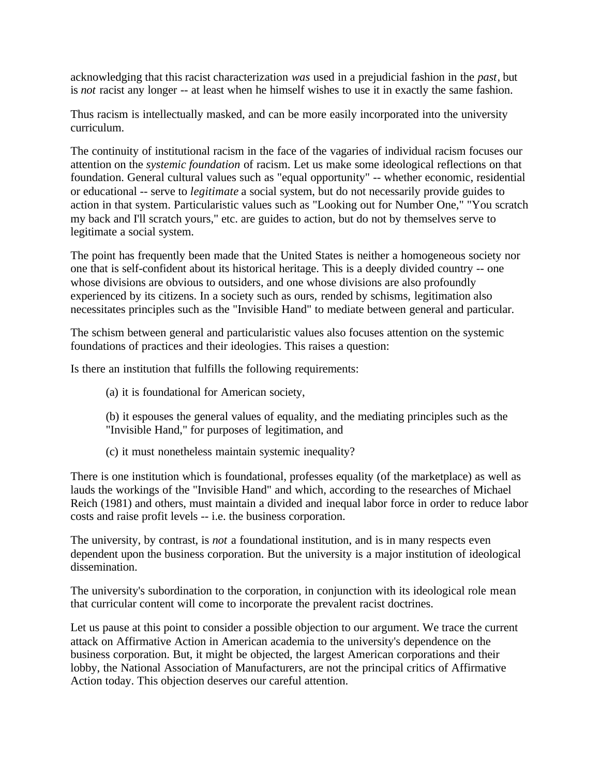acknowledging that this racist characterization *was* used in a prejudicial fashion in the *past*, but is *not* racist any longer -- at least when he himself wishes to use it in exactly the same fashion.

Thus racism is intellectually masked, and can be more easily incorporated into the university curriculum.

The continuity of institutional racism in the face of the vagaries of individual racism focuses our attention on the *systemic foundation* of racism. Let us make some ideological reflections on that foundation. General cultural values such as "equal opportunity" -- whether economic, residential or educational -- serve to *legitimate* a social system, but do not necessarily provide guides to action in that system. Particularistic values such as "Looking out for Number One," "You scratch my back and I'll scratch yours," etc. are guides to action, but do not by themselves serve to legitimate a social system.

The point has frequently been made that the United States is neither a homogeneous society nor one that is self-confident about its historical heritage. This is a deeply divided country -- one whose divisions are obvious to outsiders, and one whose divisions are also profoundly experienced by its citizens. In a society such as ours, rended by schisms, legitimation also necessitates principles such as the "Invisible Hand" to mediate between general and particular.

The schism between general and particularistic values also focuses attention on the systemic foundations of practices and their ideologies. This raises a question:

Is there an institution that fulfills the following requirements:

- (a) it is foundational for American society,
- (b) it espouses the general values of equality, and the mediating principles such as the "Invisible Hand," for purposes of legitimation, and
- (c) it must nonetheless maintain systemic inequality?

There is one institution which is foundational, professes equality (of the marketplace) as well as lauds the workings of the "Invisible Hand" and which, according to the researches of Michael Reich (1981) and others, must maintain a divided and inequal labor force in order to reduce labor costs and raise profit levels -- i.e. the business corporation.

The university, by contrast, is *not* a foundational institution, and is in many respects even dependent upon the business corporation. But the university is a major institution of ideological dissemination.

The university's subordination to the corporation, in conjunction with its ideological role mean that curricular content will come to incorporate the prevalent racist doctrines.

Let us pause at this point to consider a possible objection to our argument. We trace the current attack on Affirmative Action in American academia to the university's dependence on the business corporation. But, it might be objected, the largest American corporations and their lobby, the National Association of Manufacturers, are not the principal critics of Affirmative Action today. This objection deserves our careful attention.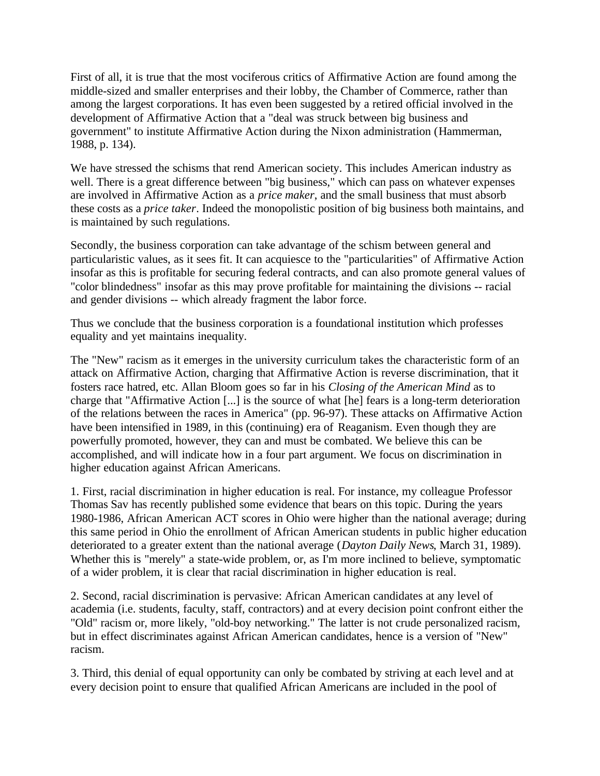First of all, it is true that the most vociferous critics of Affirmative Action are found among the middle-sized and smaller enterprises and their lobby, the Chamber of Commerce, rather than among the largest corporations. It has even been suggested by a retired official involved in the development of Affirmative Action that a "deal was struck between big business and government" to institute Affirmative Action during the Nixon administration (Hammerman, 1988, p. 134).

We have stressed the schisms that rend American society. This includes American industry as well. There is a great difference between "big business," which can pass on whatever expenses are involved in Affirmative Action as a *price maker*, and the small business that must absorb these costs as a *price taker*. Indeed the monopolistic position of big business both maintains, and is maintained by such regulations.

Secondly, the business corporation can take advantage of the schism between general and particularistic values, as it sees fit. It can acquiesce to the "particularities" of Affirmative Action insofar as this is profitable for securing federal contracts, and can also promote general values of "color blindedness" insofar as this may prove profitable for maintaining the divisions -- racial and gender divisions -- which already fragment the labor force.

Thus we conclude that the business corporation is a foundational institution which professes equality and yet maintains inequality.

The "New" racism as it emerges in the university curriculum takes the characteristic form of an attack on Affirmative Action, charging that Affirmative Action is reverse discrimination, that it fosters race hatred, etc. Allan Bloom goes so far in his *Closing of the American Mind* as to charge that "Affirmative Action [...] is the source of what [he] fears is a long-term deterioration of the relations between the races in America" (pp. 96-97). These attacks on Affirmative Action have been intensified in 1989, in this (continuing) era of Reaganism. Even though they are powerfully promoted, however, they can and must be combated. We believe this can be accomplished, and will indicate how in a four part argument. We focus on discrimination in higher education against African Americans.

1. First, racial discrimination in higher education is real. For instance, my colleague Professor Thomas Sav has recently published some evidence that bears on this topic. During the years 1980-1986, African American ACT scores in Ohio were higher than the national average; during this same period in Ohio the enrollment of African American students in public higher education deteriorated to a greater extent than the national average (*Dayton Daily News*, March 31, 1989). Whether this is "merely" a state-wide problem, or, as I'm more inclined to believe, symptomatic of a wider problem, it is clear that racial discrimination in higher education is real.

2. Second, racial discrimination is pervasive: African American candidates at any level of academia (i.e. students, faculty, staff, contractors) and at every decision point confront either the "Old" racism or, more likely, "old-boy networking." The latter is not crude personalized racism, but in effect discriminates against African American candidates, hence is a version of "New" racism.

3. Third, this denial of equal opportunity can only be combated by striving at each level and at every decision point to ensure that qualified African Americans are included in the pool of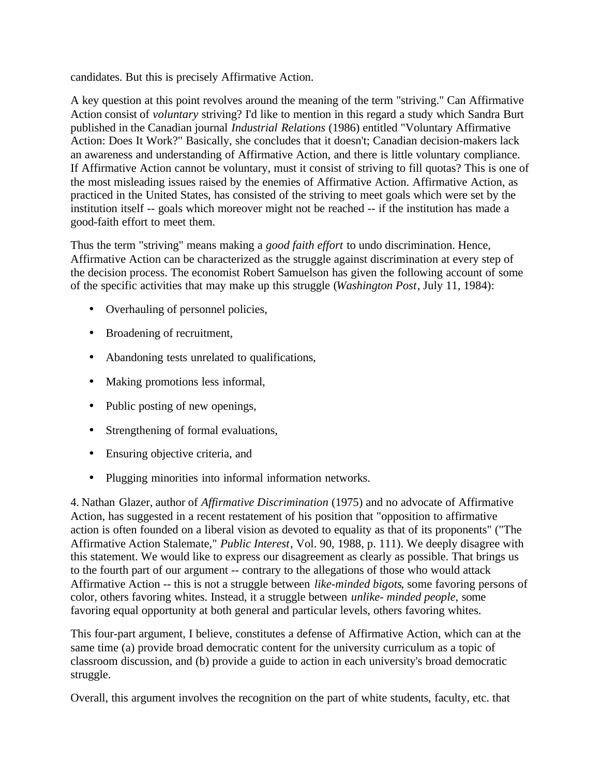candidates. But this is precisely Affirmative Action.

A key question at this point revolves around the meaning of the term "striving." Can Affirmative Action consist of *voluntary* striving? I'd like to mention in this regard a study which Sandra Burt published in the Canadian journal *Industrial Relations* (1986) entitled "Voluntary Affirmative Action: Does It Work?" Basically, she concludes that it doesn't; Canadian decision-makers lack an awareness and understanding of Affirmative Action, and there is little voluntary compliance. If Affirmative Action cannot be voluntary, must it consist of striving to fill quotas? This is one of the most misleading issues raised by the enemies of Affirmative Action. Affirmative Action, as practiced in the United States, has consisted of the striving to meet goals which were set by the institution itself -- goals which moreover might not be reached -- if the institution has made a good-faith effort to meet them.

Thus the term "striving" means making a *good faith effort* to undo discrimination. Hence, Affirmative Action can be characterized as the struggle against discrimination at every step of the decision process. The economist Robert Samuelson has given the following account of some of the specific activities that may make up this struggle (*Washington Post*, July 11, 1984):

- Overhauling of personnel policies,
- Broadening of recruitment,
- Abandoning tests unrelated to qualifications,
- Making promotions less informal,
- Public posting of new openings,
- Strengthening of formal evaluations,
- Ensuring objective criteria, and
- Plugging minorities into informal information networks.

4. Nathan Glazer, author of *Affirmative Discrimination* (1975) and no advocate of Affirmative Action, has suggested in a recent restatement of his position that "opposition to affirmative action is often founded on a liberal vision as devoted to equality as that of its proponents" ("The Affirmative Action Stalemate," *Public Interest*, Vol. 90, 1988, p. 111). We deeply disagree with this statement. We would like to express our disagreement as clearly as possible. That brings us to the fourth part of our argument -- contrary to the allegations of those who would attack Affirmative Action -- this is not a struggle between *like-minded bigots*, some favoring persons of color, others favoring whites. Instead, it a struggle between *unlike- minded people*, some favoring equal opportunity at both general and particular levels, others favoring whites.

This four-part argument, I believe, constitutes a defense of Affirmative Action, which can at the same time (a) provide broad democratic content for the university curriculum as a topic of classroom discussion, and (b) provide a guide to action in each university's broad democratic struggle.

Overall, this argument involves the recognition on the part of white students, faculty, etc. that